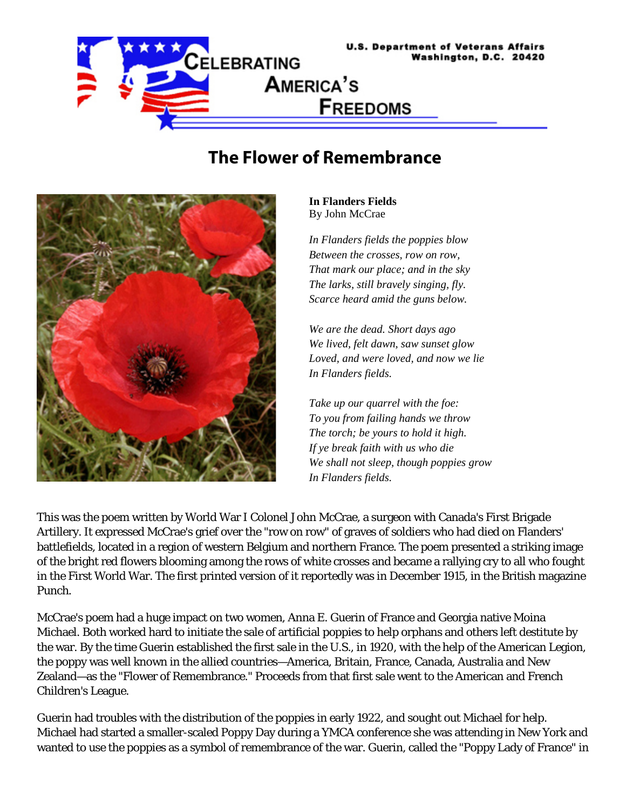

## **The Flower of Remembrance**



**In Flanders Fields** By John McCrae

*In Flanders fields the poppies blow Between the crosses, row on row, That mark our place; and in the sky The larks, still bravely singing, fly. Scarce heard amid the guns below.* 

*We are the dead. Short days ago We lived, felt dawn, saw sunset glow Loved, and were loved, and now we lie In Flanders fields.* 

*Take up our quarrel with the foe: To you from failing hands we throw The torch; be yours to hold it high. If ye break faith with us who die We shall not sleep, though poppies grow In Flanders fields.* 

This was the poem written by World War I Colonel John McCrae, a surgeon with Canada's First Brigade Artillery. It expressed McCrae's grief over the "row on row" of graves of soldiers who had died on Flanders' battlefields, located in a region of western Belgium and northern France. The poem presented a striking image of the bright red flowers blooming among the rows of white crosses and became a rallying cry to all who fought in the First World War. The first printed version of it reportedly was in December 1915, in the British magazine *Punch*.

McCrae's poem had a huge impact on two women, Anna E. Guerin of France and Georgia native Moina Michael. Both worked hard to initiate the sale of artificial poppies to help orphans and others left destitute by the war. By the time Guerin established the first sale in the U.S., in 1920, with the help of the American Legion, the poppy was well known in the allied countries—America, Britain, France, Canada, Australia and New Zealand—as the "Flower of Remembrance." Proceeds from that first sale went to the American and French Children's League.

Guerin had troubles with the distribution of the poppies in early 1922, and sought out Michael for help. Michael had started a smaller-scaled Poppy Day during a YMCA conference she was attending in New York and wanted to use the poppies as a symbol of remembrance of the war. Guerin, called the "Poppy Lady of France" in